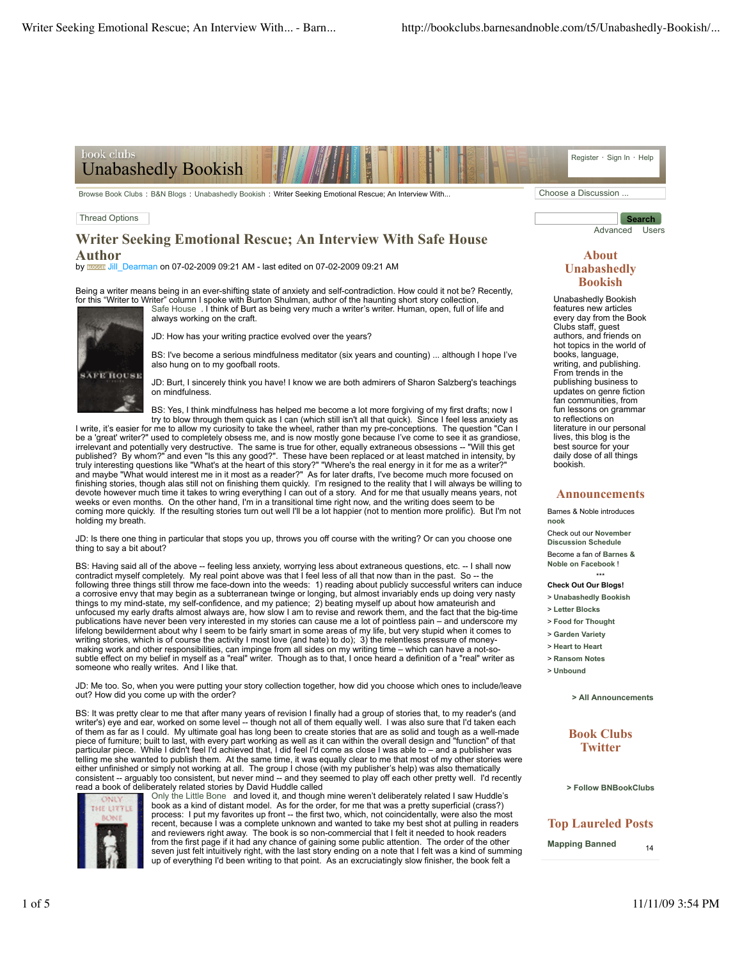

Browse Book Clubs : B&N Blogs : Unabashedly Bookish : Writer Seeking Emotional Rescue; An Interview With... Choose a Discussion ...

### Thread Options

# **Writer Seeking Emotional Rescue; An Interview With Safe House Author**

by **Broader** Jill\_Dearman on 07-02-2009 09:21 AM - last edited on 07-02-2009 09:21 AM

always working on the craft.

Being a writer means being in an ever-shifting state of anxiety and self-contradiction. How could it not be? Recently, for this "Writer to Writer" column I spoke with Burton Shulman, author of the haunting short story collection Safe House . I think of Burt as being very much a writer's writer. Human, open, full of life and



JD: How has your writing practice evolved over the years?

BS: I've become a serious mindfulness meditator (six years and counting) ... although I hope I've also hung on to my goofball roots.

JD: Burt, I sincerely think you have! I know we are both admirers of Sharon Salzberg's teachings on mindfulness.

BS: Yes, I think mindfulness has helped me become a lot more forgiving of my first drafts; now I try to blow through them quick as I can (which still isn't all that quick). Since I feel less anxiety as

I write, it's easier for me to allow my curiosity to take the wheel, rather than my pre-conceptions. The question "Can I be a 'great' writer?" used to completely obsess me, and is now mostly gone because I've come to see it as grandiose, irrelevant and potentially very destructive. The same is true for other, equally extraneous obsessions -- "Will this get published? By whom?" and even "Is this any good?". These have been replaced or at least matched in intensity, by<br>truly interesting questions like "What's at the heart of this story?" "Where's the real energy in it for me a devote however much time it takes to wring everything I can out of a story. And for me that usually means years, not weeks or even months. On the other hand, I'm in a transitional time right now, and the writing does seem to be coming more quickly. If the resulting stories turn out well I'll be a lot happier (not to mention more prolific). But I'm not holding my breath.

JD: Is there one thing in particular that stops you up, throws you off course with the writing? Or can you choose one thing to say a bit about?

BS: Having said all of the above -- feeling less anxiety, worrying less about extraneous questions, etc. -- I shall now contradict myself completely. My real point above was that I feel less of all that now than in the past. So -- the following three things still throw me face-down into the weeds: 1) reading about publicly successful writers can induce a corrosive envy that may begin as a subterranean twinge or longing, but almost invariably ends up doing very nasty things to my mind-state, my self-confidence, and my patience; 2) beating myself up about how amateurish and unfocused my early drafts almost always are, how slow I am to revise and rework them, and the fact that the big-time publications have never been very interested in my stories can cause me a lot of pointless pain – and underscore my lifelong bewilderment about why I seem to be fairly smart in some areas of my life, but very stupid when it comes to writing stories, which is of course the activity I most love (and hate) to do); 3) the relentless pressure of moneymaking work and other responsibilities, can impinge from all sides on my writing time – which can have a not-sosubtle effect on my belief in myself as a "real" writer. Though as to that, I once heard a definition of a "real" writer as someone who really writes. And I like that.

JD: Me too. So, when you were putting your story collection together, how did you choose which ones to include/leave out? How did you come up with the order?

BS: It was pretty clear to me that after many years of revision I finally had a group of stories that, to my reader's (and<br>writer's) eye and ear, worked on some level -- though not all of them equally well. I was also sur of them as far as I could. My ultimate goal has long been to create stories that are as solid and tough as a well-made piece of furniture; built to last, with every part working as well as it can within the overall design and "function" of that particular piece. While I didn't feel I'd achieved that, I did feel I'd come as close I was able to – and a publisher was telling me she wanted to publish them. At the same time, it was equally clear to me that most of my other stories were<br>either unfinished or simply not working at all. The group I chose (with my publisher's help) was also read a book of deliberately related stories by David Huddle called



Only the Little Bone and loved it, and though mine weren't deliberately related I saw Huddle's book as a kind of distant model. As for the order, for me that was a pretty superficial (crass?) process: I put my favorites up front -- the first two, which, not coincidentally, were also the most recent, because I was a complete unknown and wanted to take my best shot at pulling in readers and reviewers right away. The book is so non-commercial that I felt it needed to hook readers<br>from the first page if it had any chance of gaining some public attention. The order of the other<br>seven just felt intuitively ri

Advanced Users

**Search**

## **About Unabashedly Bookish**

Unabashedly Bookish features new articles every day from the Book Clubs staff, guest authors, and friends on hot topics in the world of books, language, writing, and publishing. From trends in the publishing business to updates on genre fiction fan communities, from fun lessons on grammar to reflections on literature in our personal lives, this blog is the best source for your daily dose of all things bookish.

### **Announcements**

Barnes & Noble introduces **nook** Check out our **November Discussion Schedule** Become a fan of **Barnes & Noble on Facebook** !

# \*\*\* **Check Out Our Blogs!**

- > **Unabashedly Bookish**
- > **Letter Blocks**
- > **Food for Thought**
- > **Garden Variety**
- > **Heart to Heart**
- > **Ransom Notes**
- > **Unbound**

**> All Announcements**

**Book Clubs Twitter**

**> Follow BNBookClubs**

# **Top Laureled Posts**

**Mapping Banned** 14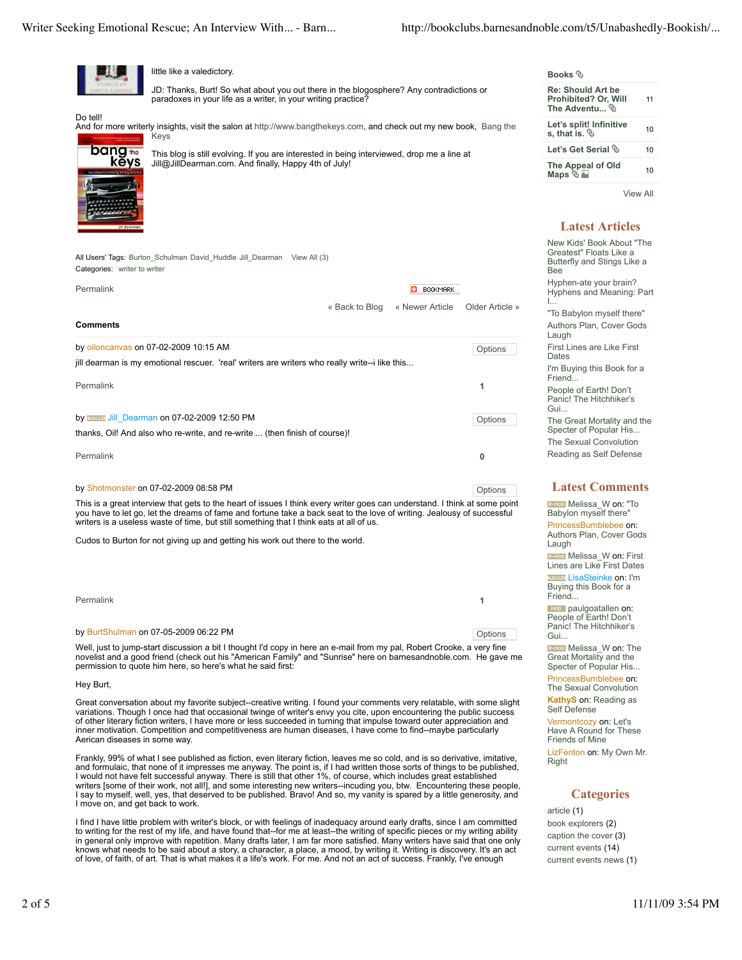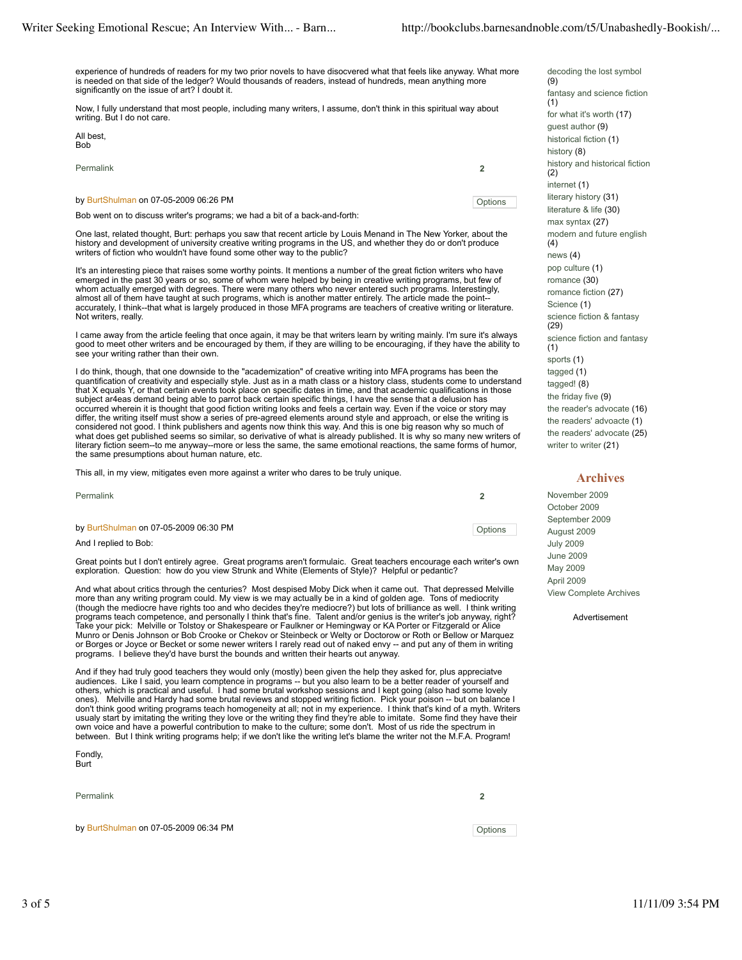experience of hundreds of readers for my two prior novels to have disocvered what that feels like anyway. What more is needed on that side of the ledger? Would thousands of readers, instead of hundreds, mean anything more significantly on the issue of art? I doubt it.

Now, I fully understand that most people, including many writers, I assume, don't think in this spiritual way about writing. But I do not care.

| All best. |  |  |
|-----------|--|--|
| Bob       |  |  |
|           |  |  |

| Permalink                                                                   | 2       |
|-----------------------------------------------------------------------------|---------|
| by BurtShulman on 07-05-2009 06:26 PM                                       | Options |
| Bob went on to discuss writer's programs; we had a bit of a back-and-forth: |         |

One last, related thought, Burt: perhaps you saw that recent article by Louis Menand in The New Yorker, about the<br>history and development of university creative writing programs in the US, and whether they do or don't prod writers of fiction who wouldn't have found some other way to the public?

It's an interesting piece that raises some worthy points. It mentions a number of the great fiction writers who have emerged in the past 30 years or so, some of whom were helped by being in creative writing programs, but few of whom actually emerged with degrees. There were many others who never entered such programs. Interestingly, almost all of them have taught at such programs, which is another matter entirely. The article made the point- accurately, I think--that what is largely produced in those MFA programs are teachers of creative writing or literature. Not writers, really.

I came away from the article feeling that once again, it may be that writers learn by writing mainly. I'm sure it's always good to meet other writers and be encouraged by them, if they are willing to be encouraging, if they have the ability to see your writing rather than their own.

I do think, though, that one downside to the "academization" of creative writing into MFA programs has been the quantification of creativity and especially style. Just as in a math class or a history class, students come to understand that X equals Y, or that certain events took place on specific dates in time, and that academic qualifications in those subject ar4eas demand being able to parrot back certain specific things, I have the sense that a delusion has occurred wherein it is thought that good fiction writing looks and feels a certain way. Even if the voice or story may differ, the writing itself must show a series of pre-agreed elements around style and approach, or else the writing is considered not good. I think publishers and agents now think this way. And this is one big reason why so much of what does get published seems so similar, so derivative of what is already published. It is why so many new writers of<br>literary fiction seem--to me anyway--more or less the same, the same emotional reactions, the same form the same presumptions about human nature, etc.

This all, in my view, mitigates even more against a writer who dares to be truly unique.

| Permalink                             |         |
|---------------------------------------|---------|
| by BurtShulman on 07-05-2009 06:30 PM | Options |
| And I replied to Bob:                 |         |

Great points but I don't entirely agree. Great programs aren't formulaic. Great teachers encourage each writer's own exploration. Question: how do you view Strunk and White (Elements of Style)? Helpful or pedantic?

And what about critics through the centuries? Most despised Moby Dick when it came out. That depressed Melville more than any writing program could. My view is we may actually be in a kind of golden age. Tons of mediocrity (though the mediocre have rights too and who decides they're mediocre?) but lots of brilliance as well. I think writing programs teach competence, and personally I think that's fine. Talent and/or genius is the writer's job anyway, right? Take your pick: Melville or Tolstoy or Shakespeare or Faulkner or Hemingway or KA Porter or Fitzgerald or Alice Munro or Denis Johnson or Bob Crooke or Chekov or Steinbeck or Welty or Doctorow or Roth or Bellow or Marquez<br>or Borges or Joyce or Becket or some newer writers I rarely read out of naked envy -- and put any of them in wri programs. I believe they'd have burst the bounds and written their hearts out anyway.

And if they had truly good teachers they would only (mostly) been given the help they asked for, plus appreciatve<br>audiences. Like I said, you learn comptence in programs -- but you also learn to be a better reader of your others, which is practical and useful. I had some brutal workshop sessions and I kept going (also had some lovely ones). Melville and Hardy had some brutal reviews and stopped writing fiction. Pick your poison -- but on balance I don't think good writing programs teach homogeneity at all; not in my experience. I think that's kind of a myth. Writers<br>usualy start by imitating the writing they love or the writing they find they're able to imitate. So between. But I think writing programs help; if we don't like the writing let's blame the writer not the M.F.A. Program!

Fondly, Burt

Permalink **2**

by BurtShulman on 07-05-2009 06:34 PM

decoding the lost symbol (9) fantasy and science fiction (1) for what it's worth (17) guest author (9) historical fiction (1) history (8) history and historical fiction (2) internet (1) literary history (31) literature & life (30) max syntax (27) modern and future english (4) news (4) pop culture (1) romance (30) romance fiction (27) Science (1) science fiction & fantasy (29) science fiction and fantasy (1) sports (1) tagged (1) tagged! (8) the friday five (9) the reader's advocate (16) the readers' advoacte (1) the readers' advocate (25)

### **Archives**

writer to writer (21)

November 2009 October 2009 September 2009 August 2009 July 2009 June 2009 May 2009 April 2009 View Complete Archives

**Advertisement**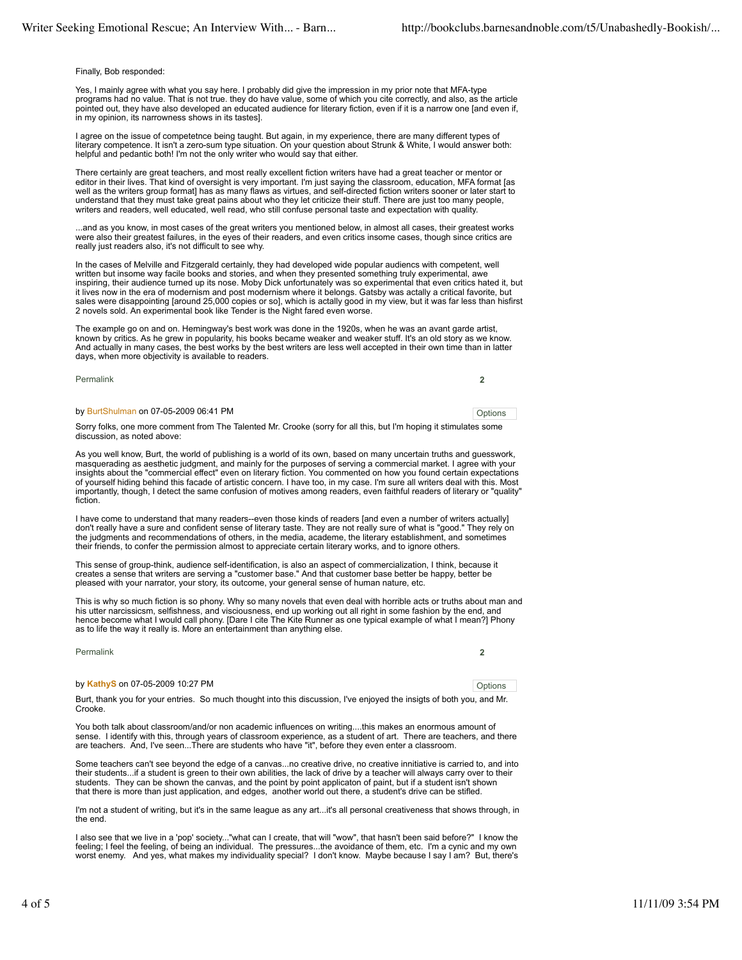#### Finally, Bob responded:

Yes, I mainly agree with what you say here. I probably did give the impression in my prior note that MFA-type programs had no value. That is not true. they do have value, some of which you cite correctly, and also, as the article pointed out, they have also developed an educated audience for literary fiction, even if it is a narrow one [and even if, in my opinion, its narrowness shows in its tastes].

I agree on the issue of competetnce being taught. But again, in my experience, there are many different types of literary competence. It isn't a zero-sum type situation. On your question about Strunk & White, I would answer both: helpful and pedantic both! I'm not the only writer who would say that either.

There certainly are great teachers, and most really excellent fiction writers have had a great teacher or mentor or editor in their lives. That kind of oversight is very important. I'm just saying the classroom, education, MFA format [as well as the writers group format] has as many flaws as virtues, and self-directed fiction writers sooner or later start to understand that they must take great pains about who they let criticize their stuff. There are just too many people, writers and readers, well educated, well read, who still confuse personal taste and expectation with quality

...and as you know, in most cases of the great writers you mentioned below, in almost all cases, their greatest works were also their greatest failures, in the eyes of their readers, and even critics insome cases, though since critics are really just readers also, it's not difficult to see why.

In the cases of Melville and Fitzgerald certainly, they had developed wide popular audiencs with competent, well written but insome way facile books and stories, and when they presented something truly experimental, awe inspiring, their audience turned up its nose. Moby Dick unfortunately was so experimental that even critics hated it, but it lives now in the era of modernism and post modernism where it belongs. Gatsby was actally a critical favorite, but sales were disappointing [around 25,000 copies or so], which is actally good in my view, but it was far less than hisfirst 2 novels sold. An experimental book like Tender is the Night fared even worse.

The example go on and on. Hemingway's best work was done in the 1920s, when he was an avant garde artist, known by critics. As he grew in popularity, his books became weaker and weaker stuff. It's an old story as we know. And actually in many cases, the best works by the best writers are less well accepted in their own time than in latter days, when more objectivity is available to readers.

Permalink **2**

### by BurtShulman on 07-05-2009 06:41 PM Contact the contact of the contact of the contact of the contact of the contact of the contact of the contact of the contact of the contact of the contact of the contact of the contact

Sorry folks, one more comment from The Talented Mr. Crooke (sorry for all this, but I'm hoping it stimulates some discussion, as noted above:

As you well know, Burt, the world of publishing is a world of its own, based on many uncertain truths and guesswork, masquerading as aesthetic judgment, and mainly for the purposes of serving a commercial market. I agree with your insights about the "commercial effect" even on literary fiction. You commented on how you found certain expectations of yourself hiding behind this facade of artistic concern. I have too, in my case. I'm sure all writers deal with this. Most importantly, though, I detect the same confusion of motives among readers, even faithful readers of literary or "quality" fiction.

I have come to understand that many readers--even those kinds of readers [and even a number of writers actually] don't really have a sure and confident sense of literary taste. They are not really sure of what is "good." They rely on the judgments and recommendations of others, in the media, academe, the literary establishment, and sometimes their friends, to confer the permission almost to appreciate certain literary works, and to ignore others.

This sense of group-think, audience self-identification, is also an aspect of commercialization, I think, because it<br>creates a sense that writers are serving a "customer base." And that customer base better be happy, bette

This is why so much fiction is so phony. Why so many novels that even deal with horrible acts or truths about man and his utter narcissicsm, selfishness, and visciousness, end up working out all right in some fashion by the end, and hence become what I would call phony. [Dare I cite The Kite Runner as one typical example of what I mean?] Phony as to life the way it really is. More an entertainment than anything else.

Permalink **2**

### by **KathyS** on 07-05-2009 10:27 PM **Development Controller and Controller** Continues

Burt, thank you for your entries. So much thought into this discussion, I've enjoyed the insigts of both you, and Mr. Crooke.

You both talk about classroom/and/or non academic influences on writing....this makes an enormous amount of sense. I identify with this, through years of classroom experience, as a student of art. There are teachers, and there are teachers. And, I've seen...There are students who have "it", before they even enter a classroom.

Some teachers can't see beyond the edge of a canvas...no creative drive, no creative innitiative is carried to, and into their students...if a student is green to their own abilities, the lack of drive by a teacher will always carry over to their students. They can be shown the canvas, and the point by point applicaton of paint, but if a student isn't shown that there is more than just application, and edges, another world out there, a student's drive can be stifled.

I'm not a student of writing, but it's in the same league as any art...it's all personal creativeness that shows through, in the end

I also see that we live in a 'pop' society..."what can I create, that will "wow", that hasn't been said before?" I know the feeling; I feel the feeling, of being an individual. The pressures...the avoidance of them, etc. I'm a cynic and my own worst enemy. And yes, what makes my individuality special? I don't know. Maybe because I say I am? But, there's